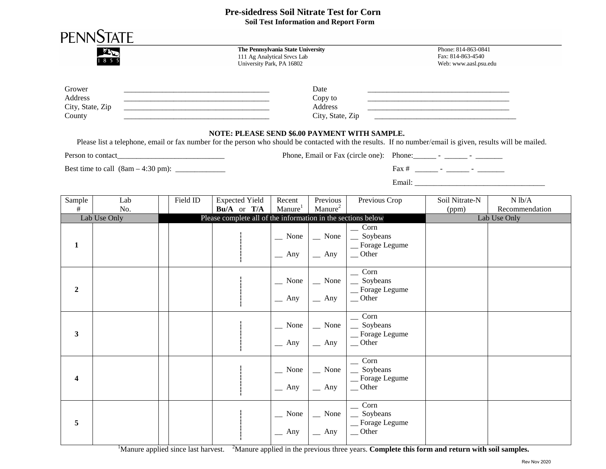## **Pre-sidedress Soil Nitrate Test for Corn Soil Test Information and Report Form**

|                                                 |              |          |                                               | The Pennsylvania State University<br>111 Ag Analytical Srvcs Lab<br>University Park, PA 16802 |                                                                                    |                                                                                                                                                            | Phone: 814-863-0841<br>Fax: 814-863-4540<br>Web: www.aasl.psu.edu                                                     |                          |
|-------------------------------------------------|--------------|----------|-----------------------------------------------|-----------------------------------------------------------------------------------------------|------------------------------------------------------------------------------------|------------------------------------------------------------------------------------------------------------------------------------------------------------|-----------------------------------------------------------------------------------------------------------------------|--------------------------|
| Grower<br>Address<br>City, State, Zip<br>County |              |          |                                               | Date<br>Copy to<br>Address<br>City, State, Zip                                                |                                                                                    |                                                                                                                                                            | <u> 1980 - Johann Stoff, deutscher Stoff, der Stoff, der Stoff, der Stoff, der Stoff, der Stoff, der Stoff, der S</u> |                          |
|                                                 |              |          | NOTE: PLEASE SEND \$6.00 PAYMENT WITH SAMPLE. |                                                                                               |                                                                                    | Please list a telephone, email or fax number for the person who should be contacted with the results. If no number/email is given, results will be mailed. |                                                                                                                       |                          |
| Person to contact                               |              |          |                                               |                                                                                               |                                                                                    | Phone, Email or Fax (circle one): Phone: ________ - _______ - __________                                                                                   |                                                                                                                       |                          |
|                                                 |              |          |                                               |                                                                                               |                                                                                    |                                                                                                                                                            |                                                                                                                       |                          |
|                                                 |              |          |                                               |                                                                                               |                                                                                    |                                                                                                                                                            |                                                                                                                       |                          |
| Sample<br>#                                     | Lab<br>No.   | Field ID | <b>Expected Yield</b><br>Bu/A or T/A          | Recent<br>Manure <sup>1</sup>                                                                 | Previous<br>Manure <sup>2</sup>                                                    | Previous Crop                                                                                                                                              | Soil Nitrate-N<br>(ppm)                                                                                               | N lb/A<br>Recommendation |
|                                                 | Lab Use Only |          |                                               |                                                                                               | Please complete all of the information in the sections below                       |                                                                                                                                                            | Lab Use Only                                                                                                          |                          |
| 1                                               |              |          |                                               |                                                                                               | $\sim$ None $\vert$ $\sim$ None<br>$\begin{array}{c c c}\n\hline\n\end{array}$ Any | $\overline{\phantom{a}}$ Corn<br>$\_\_$ Soybeans<br>_Forage Legume<br>$\sim$ Other                                                                         |                                                                                                                       |                          |
| $\mathbf{2}$                                    |              |          |                                               | $\equiv$ Any                                                                                  | $\sim$ None $\vert$ $\sim$ None $\vert$<br>$-$ Any                                 | $\overline{\phantom{0}}$ Corn<br>$\equiv$ Soybeans<br>_Forage Legume<br>$\sqrt{ }$ Other                                                                   |                                                                                                                       |                          |
| 3                                               |              |          |                                               | $\equiv$ Any $\parallel$                                                                      | $\sim$ None $\vert \quad \vert$ None<br>$\equiv$ Any                               | $\sum$ Corn<br>$\equiv$ Soybeans<br>_Forage Legume<br>$\equiv$ Other                                                                                       |                                                                                                                       |                          |
| $\overline{\mathbf{4}}$                         |              |          |                                               | None<br>$-$ Any                                                                               | None<br>$-$ Any                                                                    | Corn<br>Soybeans<br>_ Forage Legume<br>$\overline{\phantom{a}}$ Other                                                                                      |                                                                                                                       |                          |
| 5                                               |              |          |                                               | $\sum$ None<br>$-$ Any                                                                        | $\sum$ None<br>$-$ Any                                                             | Corn<br>Soybeans<br>Forage Legume<br>$\overline{\phantom{a}}$ Other                                                                                        |                                                                                                                       |                          |

<sup>1</sup>Manure applied since last harvest. <sup>2</sup>Manure applied in the previous three years. **Complete this form and return with soil samples.**